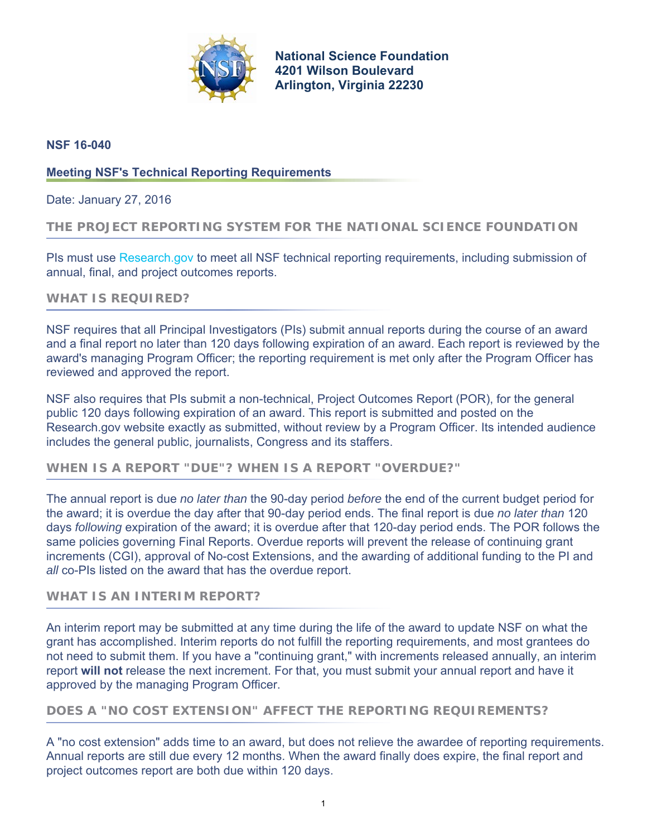

**[National Science Foundation](https://www.nsf.gov/) 4201 Wilson Boulevard Arlington, Virginia 22230**

## **NSF 16-040**

## **Meeting NSF's Technical Reporting Requirements**

Date: January 27, 2016

### **THE PROJECT REPORTING SYSTEM FOR THE NATIONAL SCIENCE FOUNDATION**

PIs must use [Research.gov](http://research.gov/) to meet all NSF technical reporting requirements, including submission of annual, final, and project outcomes reports.

### **WHAT IS REQUIRED?**

NSF requires that all Principal Investigators (PIs) submit annual reports during the course of an award and a final report no later than 120 days following expiration of an award. Each report is reviewed by the award's managing Program Officer; the reporting requirement is met only after the Program Officer has reviewed and approved the report.

NSF also requires that PIs submit a non-technical, Project Outcomes Report (POR), for the general public 120 days following expiration of an award. This report is submitted and posted on the Research.gov website exactly as submitted, without review by a Program Officer. Its intended audience includes the general public, journalists, Congress and its staffers.

# **WHEN IS A REPORT "DUE"? WHEN IS A REPORT "OVERDUE?"**

The annual report is due *no later than* the 90-day period *before* the end of the current budget period for the award; it is overdue the day after that 90-day period ends. The final report is due *no later than* 120 days *following* expiration of the award; it is overdue after that 120-day period ends. The POR follows the same policies governing Final Reports. Overdue reports will prevent the release of continuing grant increments (CGI), approval of No-cost Extensions, and the awarding of additional funding to the PI and *all* co-PIs listed on the award that has the overdue report.

## **WHAT IS AN INTERIM REPORT?**

An interim report may be submitted at any time during the life of the award to update NSF on what the grant has accomplished. Interim reports do not fulfill the reporting requirements, and most grantees do not need to submit them. If you have a "continuing grant," with increments released annually, an interim report **will not** release the next increment. For that, you must submit your annual report and have it approved by the managing Program Officer.

# **DOES A "NO COST EXTENSION" AFFECT THE REPORTING REQUIREMENTS?**

A "no cost extension" adds time to an award, but does not relieve the awardee of reporting requirements. Annual reports are still due every 12 months. When the award finally does expire, the final report and project outcomes report are both due within 120 days.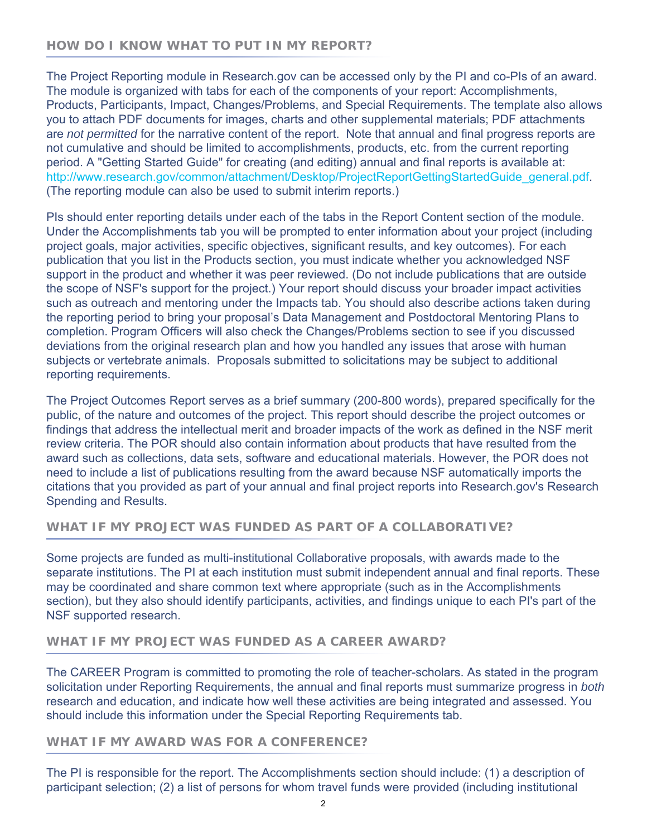# **HOW DO I KNOW WHAT TO PUT IN MY REPORT?**

The Project Reporting module in Research.gov can be accessed only by the PI and co-PIs of an award. The module is organized with tabs for each of the components of your report: Accomplishments, Products, Participants, Impact, Changes/Problems, and Special Requirements. The template also allows you to attach PDF documents for images, charts and other supplemental materials; PDF attachments are *not permitted* for the narrative content of the report. Note that annual and final progress reports are not cumulative and should be limited to accomplishments, products, etc. from the current reporting period. A "Getting Started Guide" for creating (and editing) annual and final reports is available at: [http://www.research.gov/common/attachment/Desktop/ProjectReportGettingStartedGuide\\_general.pdf.](http://www.research.gov/common/attachment/Desktop/ProjectReportGettingStartedGuide_general.pdf) (The reporting module can also be used to submit interim reports.)

PIs should enter reporting details under each of the tabs in the Report Content section of the module. Under the Accomplishments tab you will be prompted to enter information about your project (including project goals, major activities, specific objectives, significant results, and key outcomes). For each publication that you list in the Products section, you must indicate whether you acknowledged NSF support in the product and whether it was peer reviewed. (Do not include publications that are outside the scope of NSF's support for the project.) Your report should discuss your broader impact activities such as outreach and mentoring under the Impacts tab. You should also describe actions taken during the reporting period to bring your proposal's Data Management and Postdoctoral Mentoring Plans to completion. Program Officers will also check the Changes/Problems section to see if you discussed deviations from the original research plan and how you handled any issues that arose with human subjects or vertebrate animals. Proposals submitted to solicitations may be subject to additional reporting requirements.

The Project Outcomes Report serves as a brief summary (200-800 words), prepared specifically for the public, of the nature and outcomes of the project. This report should describe the project outcomes or findings that address the intellectual merit and broader impacts of the work as defined in the NSF merit review criteria. The POR should also contain information about products that have resulted from the award such as collections, data sets, software and educational materials. However, the POR does not need to include a list of publications resulting from the award because NSF automatically imports the citations that you provided as part of your annual and final project reports into Research.gov's Research Spending and Results.

# **WHAT IF MY PROJECT WAS FUNDED AS PART OF A COLLABORATIVE?**

Some projects are funded as multi-institutional Collaborative proposals, with awards made to the separate institutions. The PI at each institution must submit independent annual and final reports. These may be coordinated and share common text where appropriate (such as in the Accomplishments section), but they also should identify participants, activities, and findings unique to each PI's part of the NSF supported research.

### **WHAT IF MY PROJECT WAS FUNDED AS A CAREER AWARD?**

The CAREER Program is committed to promoting the role of teacher-scholars. As stated in the program solicitation under Reporting Requirements, the annual and final reports must summarize progress in *both* research and education, and indicate how well these activities are being integrated and assessed. You should include this information under the Special Reporting Requirements tab.

### **WHAT IF MY AWARD WAS FOR A CONFERENCE?**

The PI is responsible for the report. The Accomplishments section should include: (1) a description of participant selection; (2) a list of persons for whom travel funds were provided (including institutional